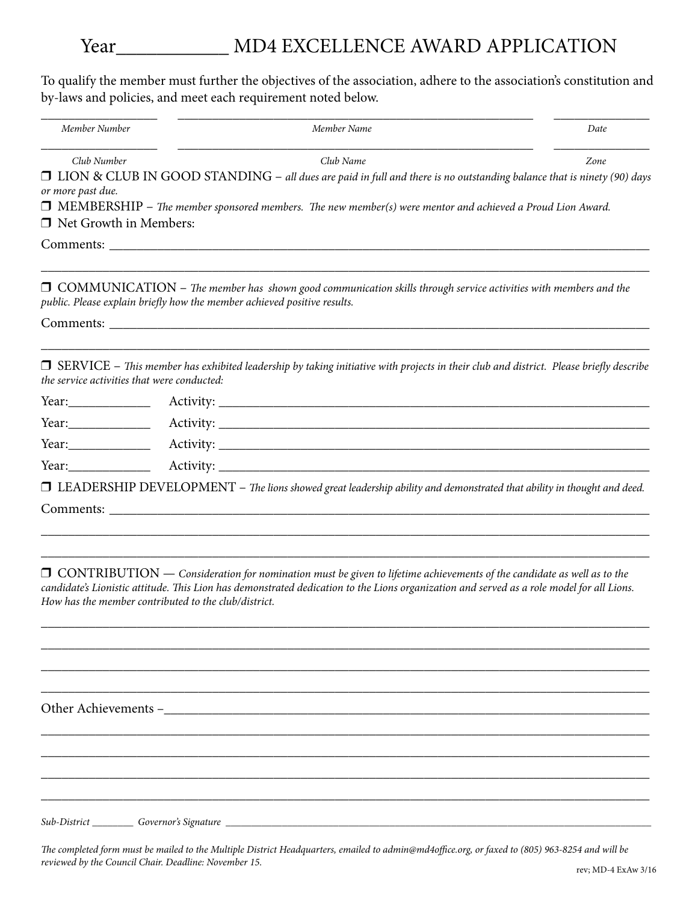## Year\_\_\_\_\_\_\_\_\_\_\_ MD4 EXCELLENCE AWARD APPLICATION

To qualify the member must further the objectives of the association, adhere to the association's constitution and by-laws and policies, and meet each requirement noted below.

| Member Number                                                                                                                                                                                                                    | Member Name                                                                                                                                                                                       | Date |
|----------------------------------------------------------------------------------------------------------------------------------------------------------------------------------------------------------------------------------|---------------------------------------------------------------------------------------------------------------------------------------------------------------------------------------------------|------|
| Club Number                                                                                                                                                                                                                      | Club Name                                                                                                                                                                                         | Zone |
| or more past due.                                                                                                                                                                                                                | □ LION & CLUB IN GOOD STANDING – all dues are paid in full and there is no outstanding balance that is ninety (90) days                                                                           |      |
| $\Box$ Net Growth in Members:                                                                                                                                                                                                    | $\Box$ MEMBERSHIP – The member sponsored members. The new member(s) were mentor and achieved a Proud Lion Award.                                                                                  |      |
|                                                                                                                                                                                                                                  | Comments:                                                                                                                                                                                         |      |
|                                                                                                                                                                                                                                  | $\Box$ COMMUNICATION – The member has shown good communication skills through service activities with members and the<br>public. Please explain briefly how the member achieved positive results. |      |
|                                                                                                                                                                                                                                  |                                                                                                                                                                                                   |      |
| the service activities that were conducted:                                                                                                                                                                                      | $\Box$ SERVICE – This member has exhibited leadership by taking initiative with projects in their club and district. Please briefly describe                                                      |      |
|                                                                                                                                                                                                                                  |                                                                                                                                                                                                   |      |
| Year: $\sqrt{2\pi}$                                                                                                                                                                                                              |                                                                                                                                                                                                   |      |
| Year: $\frac{1}{2}$                                                                                                                                                                                                              |                                                                                                                                                                                                   |      |
| $Year:$ The set of the set of the set of the set of the set of the set of the set of the set of the set of the set of the set of the set of the set of the set of the set of the set of the set of the set of the set of the set |                                                                                                                                                                                                   |      |
|                                                                                                                                                                                                                                  | $\Box$ LEADERSHIP DEVELOPMENT – The lions showed great leadership ability and demonstrated that ability in thought and deed.                                                                      |      |
|                                                                                                                                                                                                                                  |                                                                                                                                                                                                   |      |
|                                                                                                                                                                                                                                  |                                                                                                                                                                                                   |      |
|                                                                                                                                                                                                                                  |                                                                                                                                                                                                   |      |
|                                                                                                                                                                                                                                  | $\Box$ CONTRIBUTION — Consideration for nomination must be given to lifetime achievements of the candidate as well as to the                                                                      |      |
|                                                                                                                                                                                                                                  | candidate's Lionistic attitude. This Lion has demonstrated dedication to the Lions organization and served as a role model for all Lions.                                                         |      |

\_\_\_\_\_\_\_\_\_\_\_\_\_\_\_\_\_\_\_\_\_\_\_\_\_\_\_\_\_\_\_\_\_\_\_\_\_\_\_\_\_\_\_\_\_\_\_\_\_\_\_\_\_\_\_\_\_\_\_\_\_\_\_\_\_\_\_\_\_\_\_\_\_\_\_\_\_\_\_\_\_\_\_\_\_\_\_\_\_ \_\_\_\_\_\_\_\_\_\_\_\_\_\_\_\_\_\_\_\_\_\_\_\_\_\_\_\_\_\_\_\_\_\_\_\_\_\_\_\_\_\_\_\_\_\_\_\_\_\_\_\_\_\_\_\_\_\_\_\_\_\_\_\_\_\_\_\_\_\_\_\_\_\_\_\_\_\_\_\_\_\_\_\_\_\_\_\_\_ \_\_\_\_\_\_\_\_\_\_\_\_\_\_\_\_\_\_\_\_\_\_\_\_\_\_\_\_\_\_\_\_\_\_\_\_\_\_\_\_\_\_\_\_\_\_\_\_\_\_\_\_\_\_\_\_\_\_\_\_\_\_\_\_\_\_\_\_\_\_\_\_\_\_\_\_\_\_\_\_\_\_\_\_\_\_\_\_\_ \_\_\_\_\_\_\_\_\_\_\_\_\_\_\_\_\_\_\_\_\_\_\_\_\_\_\_\_\_\_\_\_\_\_\_\_\_\_\_\_\_\_\_\_\_\_\_\_\_\_\_\_\_\_\_\_\_\_\_\_\_\_\_\_\_\_\_\_\_\_\_\_\_\_\_\_\_\_\_\_\_\_\_\_\_\_\_\_\_

\_\_\_\_\_\_\_\_\_\_\_\_\_\_\_\_\_\_\_\_\_\_\_\_\_\_\_\_\_\_\_\_\_\_\_\_\_\_\_\_\_\_\_\_\_\_\_\_\_\_\_\_\_\_\_\_\_\_\_\_\_\_\_\_\_\_\_\_\_\_\_\_\_\_\_\_\_\_\_\_\_\_\_\_\_\_\_\_\_ \_\_\_\_\_\_\_\_\_\_\_\_\_\_\_\_\_\_\_\_\_\_\_\_\_\_\_\_\_\_\_\_\_\_\_\_\_\_\_\_\_\_\_\_\_\_\_\_\_\_\_\_\_\_\_\_\_\_\_\_\_\_\_\_\_\_\_\_\_\_\_\_\_\_\_\_\_\_\_\_\_\_\_\_\_\_\_\_\_ \_\_\_\_\_\_\_\_\_\_\_\_\_\_\_\_\_\_\_\_\_\_\_\_\_\_\_\_\_\_\_\_\_\_\_\_\_\_\_\_\_\_\_\_\_\_\_\_\_\_\_\_\_\_\_\_\_\_\_\_\_\_\_\_\_\_\_\_\_\_\_\_\_\_\_\_\_\_\_\_\_\_\_\_\_\_\_\_\_ \_\_\_\_\_\_\_\_\_\_\_\_\_\_\_\_\_\_\_\_\_\_\_\_\_\_\_\_\_\_\_\_\_\_\_\_\_\_\_\_\_\_\_\_\_\_\_\_\_\_\_\_\_\_\_\_\_\_\_\_\_\_\_\_\_\_\_\_\_\_\_\_\_\_\_\_\_\_\_\_\_\_\_\_\_\_\_\_\_

*How has the member contributed to the club/district.*

Other Achievements –\_\_\_\_\_\_\_\_\_\_\_\_\_\_\_\_\_\_\_\_\_\_\_\_\_\_\_\_\_\_\_\_\_\_\_\_\_\_\_\_\_\_\_\_\_\_\_\_\_\_\_\_\_\_\_\_\_\_\_\_\_\_\_\_\_\_\_\_\_\_\_

*Sub-District \_\_\_\_\_\_\_\_ Governor's Signature \_\_\_\_\_\_\_\_\_\_\_\_\_\_\_\_\_\_\_\_\_\_\_\_\_\_\_\_\_\_\_\_\_\_\_\_\_\_\_\_\_\_\_\_\_\_\_\_\_\_\_\_\_\_\_\_\_\_\_\_\_\_\_\_\_\_\_\_\_\_\_\_\_\_\_\_\_\_\_\_\_\_\_*

*The completed form must be mailed to the Multiple District Headquarters, emailed to admin@md4office.org, or faxed to (805) 963-8254 and will be reviewed by the Council Chair. Deadline: November 15. reviewed by the Council Chair. Deadline: November 15. reviewed by the Council Chair. Deadline: November 15.*